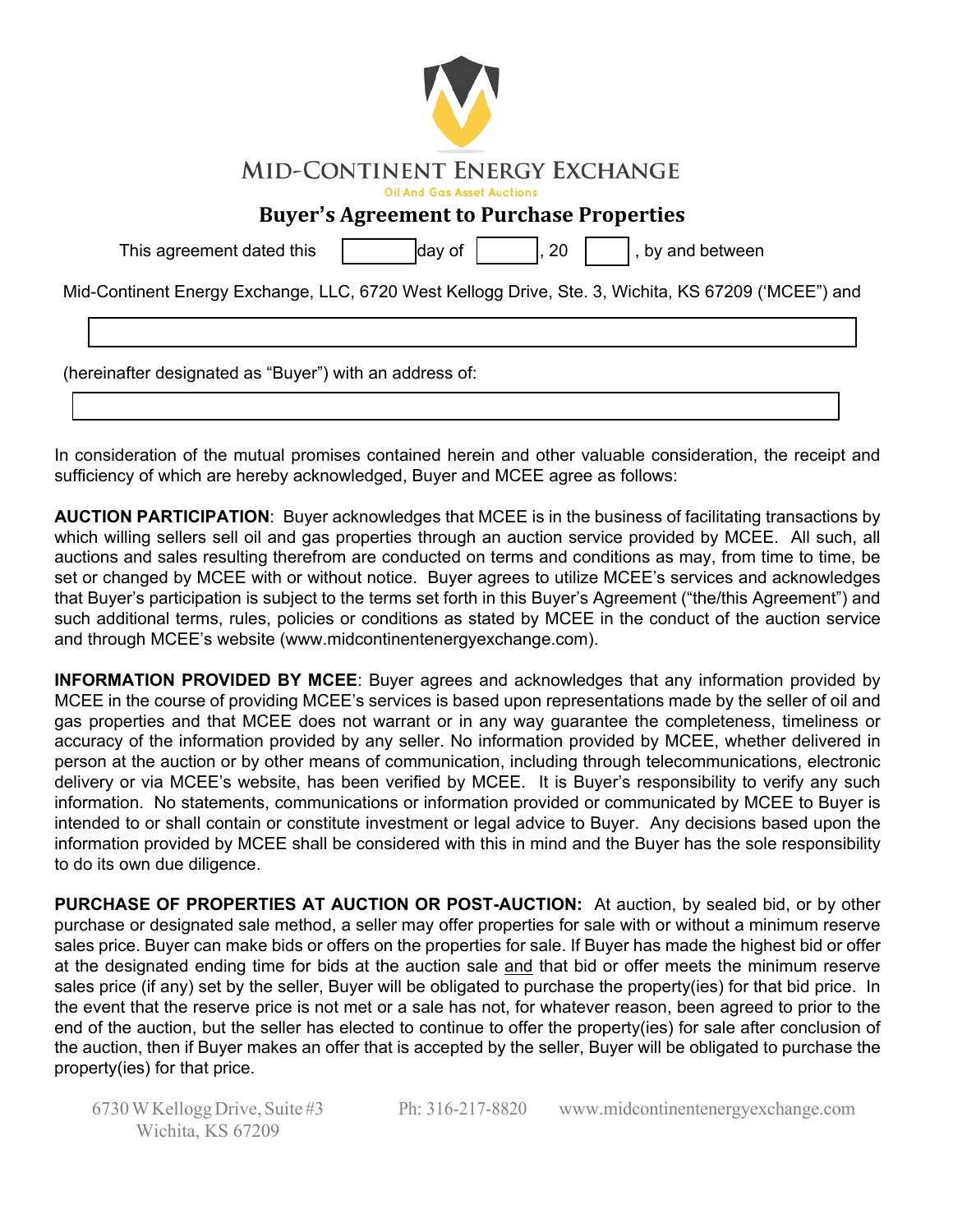| <b>MID-CONTINENT ENERGY EXCHANGE</b> |  |  |
|--------------------------------------|--|--|
|--------------------------------------|--|--|

Oil And Gas Asset Auctions

## **Buyer's Agreement to Purchase Properties**

This agreement dated this day of , 20 , by and between

Mid-Continent Energy Exchange, LLC, 6720 West Kellogg Drive, Ste. 3, Wichita, KS 67209 ('MCEE") and

(hereinafter designated as "Buyer") with an address of:

In consideration of the mutual promises contained herein and other valuable consideration, the receipt and sufficiency of which are hereby acknowledged, Buyer and MCEE agree as follows:

**AUCTION PARTICIPATION**: Buyer acknowledges that MCEE is in the business of facilitating transactions by which willing sellers sell oil and gas properties through an auction service provided by MCEE. All such, all auctions and sales resulting therefrom are conducted on terms and conditions as may, from time to time, be set or changed by MCEE with or without notice. Buyer agrees to utilize MCEE's services and acknowledges that Buyer's participation is subject to the terms set forth in this Buyer's Agreement ("the/this Agreement") and such additional terms, rules, policies or conditions as stated by MCEE in the conduct of the auction service and through MCEE's website (www.midcontinentenergyexchange.com).

**INFORMATION PROVIDED BY MCEE**: Buyer agrees and acknowledges that any information provided by MCEE in the course of providing MCEE's services is based upon representations made by the seller of oil and gas properties and that MCEE does not warrant or in any way guarantee the completeness, timeliness or accuracy of the information provided by any seller. No information provided by MCEE, whether delivered in person at the auction or by other means of communication, including through telecommunications, electronic delivery or via MCEE's website, has been verified by MCEE. It is Buyer's responsibility to verify any such information. No statements, communications or information provided or communicated by MCEE to Buyer is intended to or shall contain or constitute investment or legal advice to Buyer. Any decisions based upon the information provided by MCEE shall be considered with this in mind and the Buyer has the sole responsibility to do its own due diligence.

**PURCHASE OF PROPERTIES AT AUCTION OR POST-AUCTION:** At auction, by sealed bid, or by other purchase or designated sale method, a seller may offer properties for sale with or without a minimum reserve sales price. Buyer can make bids or offers on the properties for sale. If Buyer has made the highest bid or offer at the designated ending time for bids at the auction sale and that bid or offer meets the minimum reserve sales price (if any) set by the seller, Buyer will be obligated to purchase the property(ies) for that bid price. In the event that the reserve price is not met or a sale has not, for whatever reason, been agreed to prior to the end of the auction, but the seller has elected to continue to offer the property(ies) for sale after conclusion of the auction, then if Buyer makes an offer that is accepted by the seller, Buyer will be obligated to purchase the property(ies) for that price.

6730 W Kellogg Drive, Suite #3 Wichita, KS 67209

Ph: 316-217-8820 [www.midcontinentenergyexchange.com](http://www.midcontinentenergyexchange.com/)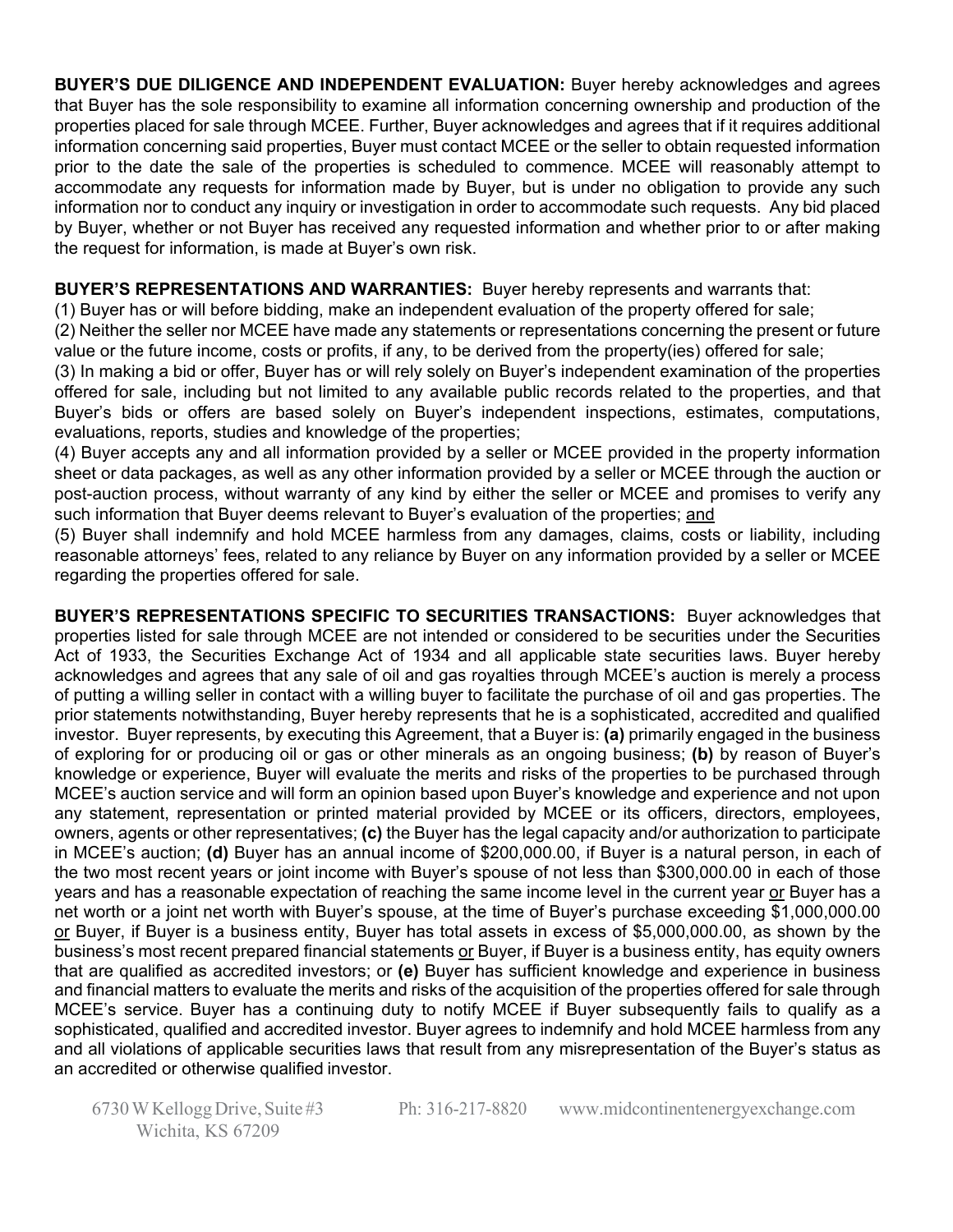**BUYER'S DUE DILIGENCE AND INDEPENDENT EVALUATION:** Buyer hereby acknowledges and agrees that Buyer has the sole responsibility to examine all information concerning ownership and production of the properties placed for sale through MCEE. Further, Buyer acknowledges and agrees that if it requires additional information concerning said properties, Buyer must contact MCEE or the seller to obtain requested information prior to the date the sale of the properties is scheduled to commence. MCEE will reasonably attempt to accommodate any requests for information made by Buyer, but is under no obligation to provide any such information nor to conduct any inquiry or investigation in order to accommodate such requests. Any bid placed by Buyer, whether or not Buyer has received any requested information and whether prior to or after making the request for information, is made at Buyer's own risk.

## **BUYER'S REPRESENTATIONS AND WARRANTIES:** Buyer hereby represents and warrants that:

(1) Buyer has or will before bidding, make an independent evaluation of the property offered for sale;

(2) Neither the seller nor MCEE have made any statements or representations concerning the present or future value or the future income, costs or profits, if any, to be derived from the property(ies) offered for sale;

(3) In making a bid or offer, Buyer has or will rely solely on Buyer's independent examination of the properties offered for sale, including but not limited to any available public records related to the properties, and that Buyer's bids or offers are based solely on Buyer's independent inspections, estimates, computations, evaluations, reports, studies and knowledge of the properties;

(4) Buyer accepts any and all information provided by a seller or MCEE provided in the property information sheet or data packages, as well as any other information provided by a seller or MCEE through the auction or post-auction process, without warranty of any kind by either the seller or MCEE and promises to verify any such information that Buyer deems relevant to Buyer's evaluation of the properties; and

(5) Buyer shall indemnify and hold MCEE harmless from any damages, claims, costs or liability, including reasonable attorneys' fees, related to any reliance by Buyer on any information provided by a seller or MCEE regarding the properties offered for sale.

**BUYER'S REPRESENTATIONS SPECIFIC TO SECURITIES TRANSACTIONS:** Buyer acknowledges that properties listed for sale through MCEE are not intended or considered to be securities under the Securities Act of 1933, the Securities Exchange Act of 1934 and all applicable state securities laws. Buyer hereby acknowledges and agrees that any sale of oil and gas royalties through MCEE's auction is merely a process of putting a willing seller in contact with a willing buyer to facilitate the purchase of oil and gas properties. The prior statements notwithstanding, Buyer hereby represents that he is a sophisticated, accredited and qualified investor. Buyer represents, by executing this Agreement, that a Buyer is: **(a)** primarily engaged in the business of exploring for or producing oil or gas or other minerals as an ongoing business; **(b)** by reason of Buyer's knowledge or experience, Buyer will evaluate the merits and risks of the properties to be purchased through MCEE's auction service and will form an opinion based upon Buyer's knowledge and experience and not upon any statement, representation or printed material provided by MCEE or its officers, directors, employees, owners, agents or other representatives; **(c)** the Buyer has the legal capacity and/or authorization to participate in MCEE's auction; **(d)** Buyer has an annual income of \$200,000.00, if Buyer is a natural person, in each of the two most recent years or joint income with Buyer's spouse of not less than \$300,000.00 in each of those years and has a reasonable expectation of reaching the same income level in the current year or Buyer has a net worth or a joint net worth with Buyer's spouse, at the time of Buyer's purchase exceeding \$1,000,000.00 or Buyer, if Buyer is a business entity, Buyer has total assets in excess of \$5,000,000.00, as shown by the business's most recent prepared financial statements or Buyer, if Buyer is a business entity, has equity owners that are qualified as accredited investors; or **(e)** Buyer has sufficient knowledge and experience in business and financial matters to evaluate the merits and risks of the acquisition of the properties offered for sale through MCEE's service. Buyer has a continuing duty to notify MCEE if Buyer subsequently fails to qualify as a sophisticated, qualified and accredited investor. Buyer agrees to indemnify and hold MCEE harmless from any and all violations of applicable securities laws that result from any misrepresentation of the Buyer's status as an accredited or otherwise qualified investor.

6730 W Kellogg Drive, Suite #3 Wichita, KS 67209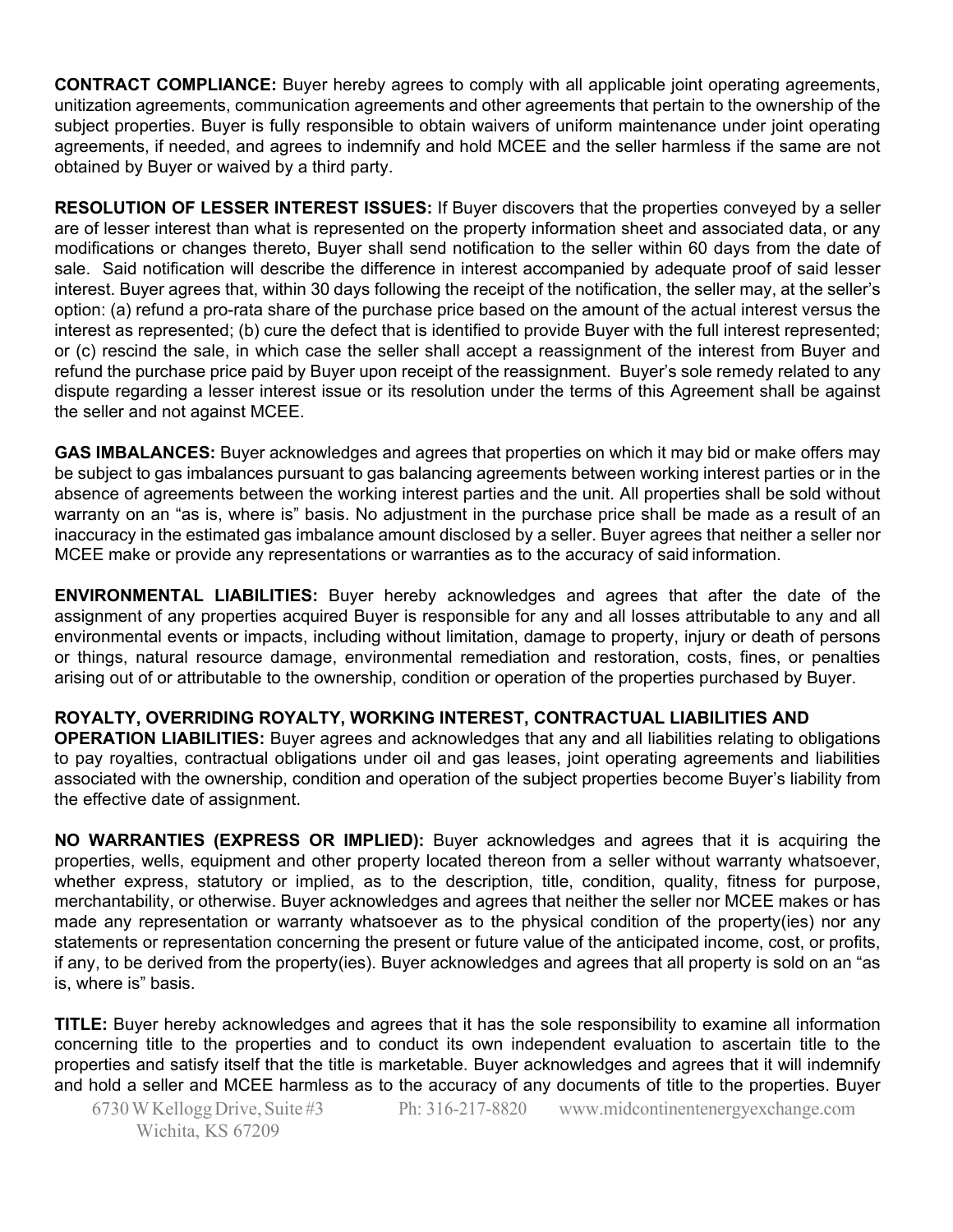**CONTRACT COMPLIANCE:** Buyer hereby agrees to comply with all applicable joint operating agreements, unitization agreements, communication agreements and other agreements that pertain to the ownership of the subject properties. Buyer is fully responsible to obtain waivers of uniform maintenance under joint operating agreements, if needed, and agrees to indemnify and hold MCEE and the seller harmless if the same are not obtained by Buyer or waived by a third party.

**RESOLUTION OF LESSER INTEREST ISSUES:** If Buyer discovers that the properties conveyed by a seller are of lesser interest than what is represented on the property information sheet and associated data, or any modifications or changes thereto, Buyer shall send notification to the seller within 60 days from the date of sale. Said notification will describe the difference in interest accompanied by adequate proof of said lesser interest. Buyer agrees that, within 30 days following the receipt of the notification, the seller may, at the seller's option: (a) refund a pro-rata share of the purchase price based on the amount of the actual interest versus the interest as represented; (b) cure the defect that is identified to provide Buyer with the full interest represented; or (c) rescind the sale, in which case the seller shall accept a reassignment of the interest from Buyer and refund the purchase price paid by Buyer upon receipt of the reassignment. Buyer's sole remedy related to any dispute regarding a lesser interest issue or its resolution under the terms of this Agreement shall be against the seller and not against MCEE.

**GAS IMBALANCES:** Buyer acknowledges and agrees that properties on which it may bid or make offers may be subject to gas imbalances pursuant to gas balancing agreements between working interest parties or in the absence of agreements between the working interest parties and the unit. All properties shall be sold without warranty on an "as is, where is" basis. No adjustment in the purchase price shall be made as a result of an inaccuracy in the estimated gas imbalance amount disclosed by a seller. Buyer agrees that neither a seller nor MCEE make or provide any representations or warranties as to the accuracy of said information.

**ENVIRONMENTAL LIABILITIES:** Buyer hereby acknowledges and agrees that after the date of the assignment of any properties acquired Buyer is responsible for any and all losses attributable to any and all environmental events or impacts, including without limitation, damage to property, injury or death of persons or things, natural resource damage, environmental remediation and restoration, costs, fines, or penalties arising out of or attributable to the ownership, condition or operation of the properties purchased by Buyer.

## **ROYALTY, OVERRIDING ROYALTY, WORKING INTEREST, CONTRACTUAL LIABILITIES AND**

**OPERATION LIABILITIES:** Buyer agrees and acknowledges that any and all liabilities relating to obligations to pay royalties, contractual obligations under oil and gas leases, joint operating agreements and liabilities associated with the ownership, condition and operation of the subject properties become Buyer's liability from the effective date of assignment.

**NO WARRANTIES (EXPRESS OR IMPLIED):** Buyer acknowledges and agrees that it is acquiring the properties, wells, equipment and other property located thereon from a seller without warranty whatsoever, whether express, statutory or implied, as to the description, title, condition, quality, fitness for purpose, merchantability, or otherwise. Buyer acknowledges and agrees that neither the seller nor MCEE makes or has made any representation or warranty whatsoever as to the physical condition of the property(ies) nor any statements or representation concerning the present or future value of the anticipated income, cost, or profits, if any, to be derived from the property(ies). Buyer acknowledges and agrees that all property is sold on an "as is, where is" basis.

**TITLE:** Buyer hereby acknowledges and agrees that it has the sole responsibility to examine all information concerning title to the properties and to conduct its own independent evaluation to ascertain title to the properties and satisfy itself that the title is marketable. Buyer acknowledges and agrees that it will indemnify and hold a seller and MCEE harmless as to the accuracy of any documents of title to the properties. Buyer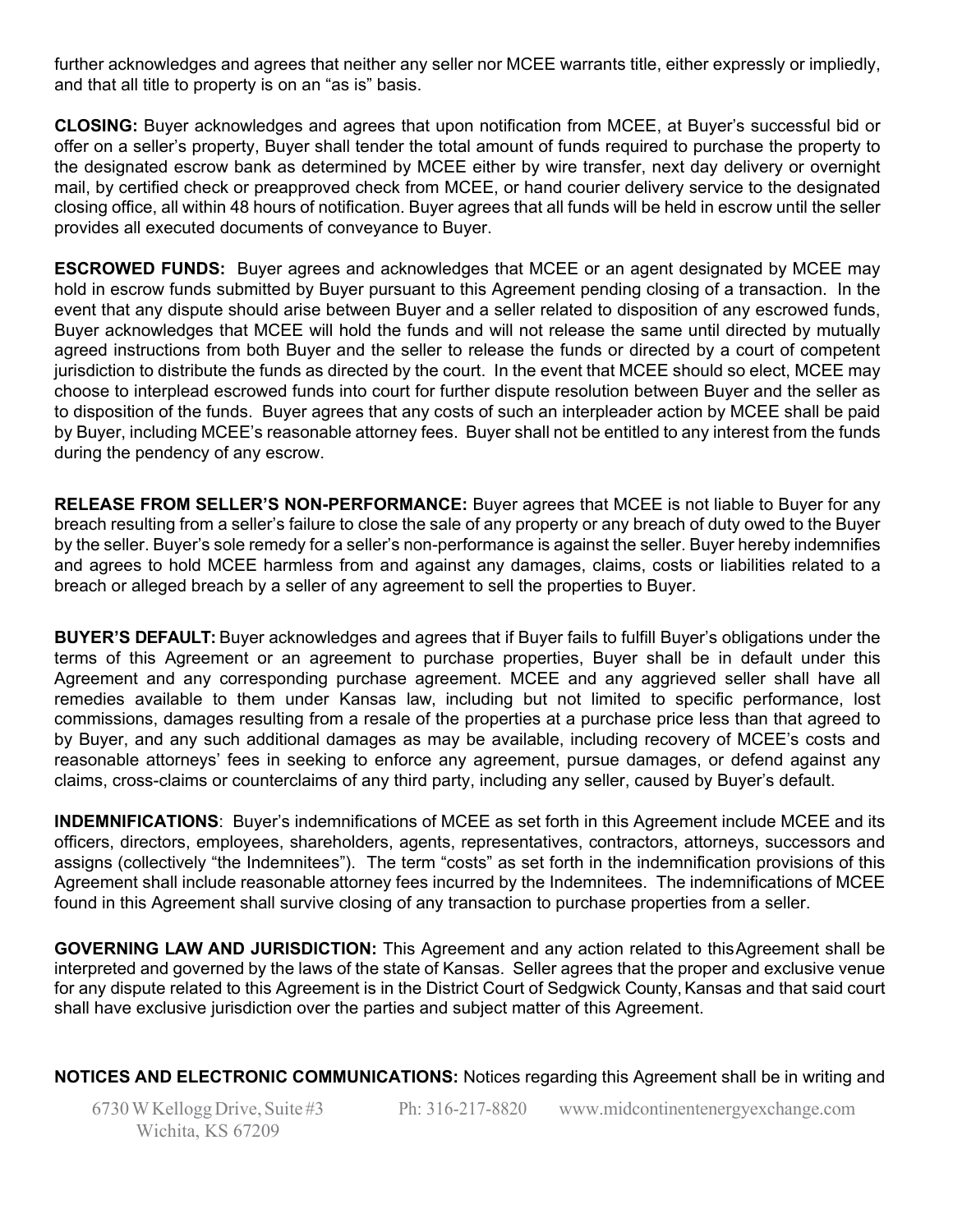further acknowledges and agrees that neither any seller nor MCEE warrants title, either expressly or impliedly, and that all title to property is on an "as is" basis.

**CLOSING:** Buyer acknowledges and agrees that upon notification from MCEE, at Buyer's successful bid or offer on a seller's property, Buyer shall tender the total amount of funds required to purchase the property to the designated escrow bank as determined by MCEE either by wire transfer, next day delivery or overnight mail, by certified check or preapproved check from MCEE, or hand courier delivery service to the designated closing office, all within 48 hours of notification. Buyer agrees that all funds will be held in escrow until the seller provides all executed documents of conveyance to Buyer.

**ESCROWED FUNDS:** Buyer agrees and acknowledges that MCEE or an agent designated by MCEE may hold in escrow funds submitted by Buyer pursuant to this Agreement pending closing of a transaction. In the event that any dispute should arise between Buyer and a seller related to disposition of any escrowed funds, Buyer acknowledges that MCEE will hold the funds and will not release the same until directed by mutually agreed instructions from both Buyer and the seller to release the funds or directed by a court of competent jurisdiction to distribute the funds as directed by the court. In the event that MCEE should so elect, MCEE may choose to interplead escrowed funds into court for further dispute resolution between Buyer and the seller as to disposition of the funds. Buyer agrees that any costs of such an interpleader action by MCEE shall be paid by Buyer, including MCEE's reasonable attorney fees. Buyer shall not be entitled to any interest from the funds during the pendency of any escrow.

**RELEASE FROM SELLER'S NON-PERFORMANCE:** Buyer agrees that MCEE is not liable to Buyer for any breach resulting from a seller's failure to close the sale of any property or any breach of duty owed to the Buyer by the seller. Buyer's sole remedy for a seller's non-performance is against the seller. Buyer hereby indemnifies and agrees to hold MCEE harmless from and against any damages, claims, costs or liabilities related to a breach or alleged breach by a seller of any agreement to sell the properties to Buyer.

**BUYER'S DEFAULT:** Buyer acknowledges and agrees that if Buyer fails to fulfill Buyer's obligations under the terms of this Agreement or an agreement to purchase properties, Buyer shall be in default under this Agreement and any corresponding purchase agreement. MCEE and any aggrieved seller shall have all remedies available to them under Kansas law, including but not limited to specific performance, lost commissions, damages resulting from a resale of the properties at a purchase price less than that agreed to by Buyer, and any such additional damages as may be available, including recovery of MCEE's costs and reasonable attorneys' fees in seeking to enforce any agreement, pursue damages, or defend against any claims, cross-claims or counterclaims of any third party, including any seller, caused by Buyer's default.

**INDEMNIFICATIONS**: Buyer's indemnifications of MCEE as set forth in this Agreement include MCEE and its officers, directors, employees, shareholders, agents, representatives, contractors, attorneys, successors and assigns (collectively "the Indemnitees"). The term "costs" as set forth in the indemnification provisions of this Agreement shall include reasonable attorney fees incurred by the Indemnitees. The indemnifications of MCEE found in this Agreement shall survive closing of any transaction to purchase properties from a seller.

**GOVERNING LAW AND JURISDICTION:** This Agreement and any action related to thisAgreement shall be interpreted and governed by the laws of the state of Kansas. Seller agrees that the proper and exclusive venue for any dispute related to this Agreement is in the District Court of Sedgwick County,Kansas and that said court shall have exclusive jurisdiction over the parties and subject matter of this Agreement.

## **NOTICES AND ELECTRONIC COMMUNICATIONS:** Notices regarding this Agreement shall be in writing and

6730 W Kellogg Drive, Suite #3 Wichita, KS 67209 Ph: 316-217-8820 [www.midcontinentenergyexchange.com](http://www.midcontinentenergyexchange.com/)